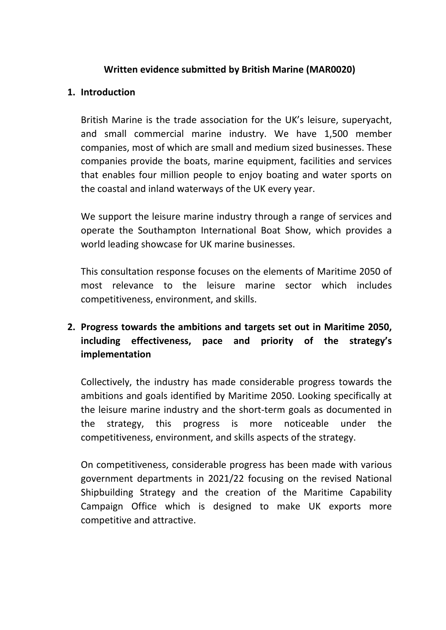### **Written evidence submitted by British Marine (MAR0020)**

### **1. Introduction**

British Marine is the trade association for the UK's leisure, superyacht, and small commercial marine industry. We have 1,500 member companies, most of which are small and medium sized businesses. These companies provide the boats, marine equipment, facilities and services that enables four million people to enjoy boating and water sports on the coastal and inland waterways of the UK every year.

We support the leisure marine industry through a range of services and operate the Southampton International Boat Show, which provides a world leading showcase for UK marine businesses.

This consultation response focuses on the elements of Maritime 2050 of most relevance to the leisure marine sector which includes competitiveness, environment, and skills.

# **2. Progress towards the ambitions and targets set out in Maritime 2050, including effectiveness, pace and priority of the strategy's implementation**

Collectively, the industry has made considerable progress towards the ambitions and goals identified by Maritime 2050. Looking specifically at the leisure marine industry and the short-term goals as documented in the strategy, this progress is more noticeable under the competitiveness, environment, and skills aspects of the strategy.

On competitiveness, considerable progress has been made with various government departments in 2021/22 focusing on the revised National Shipbuilding Strategy and the creation of the Maritime Capability Campaign Office which is designed to make UK exports more competitive and attractive.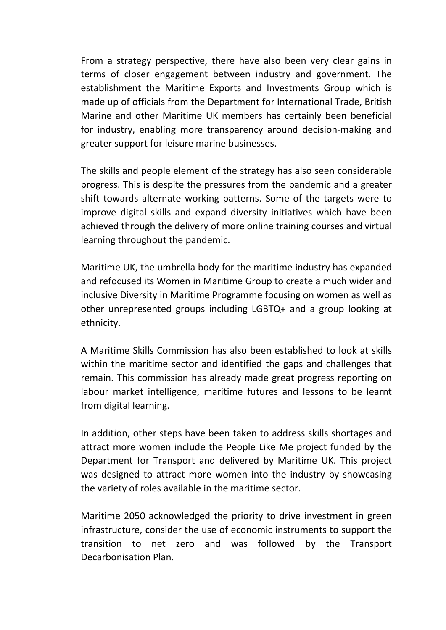From a strategy perspective, there have also been very clear gains in terms of closer engagement between industry and government. The establishment the Maritime Exports and Investments Group which is made up of officials from the Department for International Trade, British Marine and other Maritime UK members has certainly been beneficial for industry, enabling more transparency around decision-making and greater support for leisure marine businesses.

The skills and people element of the strategy has also seen considerable progress. This is despite the pressures from the pandemic and a greater shift towards alternate working patterns. Some of the targets were to improve digital skills and expand diversity initiatives which have been achieved through the delivery of more online training courses and virtual learning throughout the pandemic.

Maritime UK, the umbrella body for the maritime industry has expanded and refocused its Women in Maritime Group to create a much wider and inclusive Diversity in Maritime Programme focusing on women as well as other unrepresented groups including LGBTQ+ and a group looking at ethnicity.

A Maritime Skills Commission has also been established to look at skills within the maritime sector and identified the gaps and challenges that remain. This commission has already made great progress reporting on labour market intelligence, maritime futures and lessons to be learnt from digital learning.

In addition, other steps have been taken to address skills shortages and attract more women include the People Like Me project funded by the Department for Transport and delivered by Maritime UK. This project was designed to attract more women into the industry by showcasing the variety of roles available in the maritime sector.

Maritime 2050 acknowledged the priority to drive investment in green infrastructure, consider the use of economic instruments to support the transition to net zero and was followed by the Transport Decarbonisation Plan.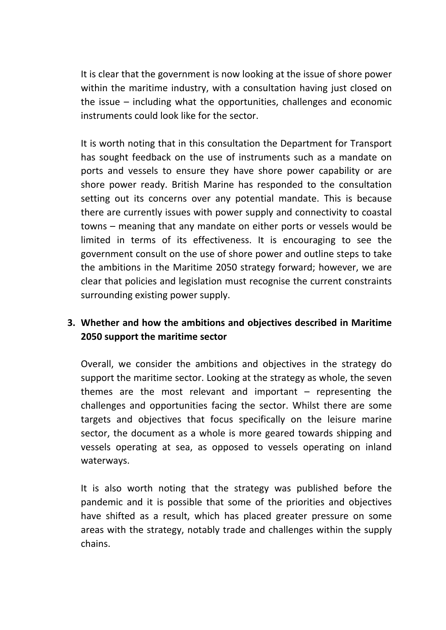It is clear that the government is now looking at the issue of shore power within the maritime industry, with a consultation having just closed on the issue – including what the opportunities, challenges and economic instruments could look like for the sector.

It is worth noting that in this consultation the Department for Transport has sought feedback on the use of instruments such as a mandate on ports and vessels to ensure they have shore power capability or are shore power ready. British Marine has responded to the consultation setting out its concerns over any potential mandate. This is because there are currently issues with power supply and connectivity to coastal towns – meaning that any mandate on either ports or vessels would be limited in terms of its effectiveness. It is encouraging to see the government consult on the use of shore power and outline steps to take the ambitions in the Maritime 2050 strategy forward; however, we are clear that policies and legislation must recognise the current constraints surrounding existing power supply.

# **3. Whether and how the ambitions and objectives described in Maritime 2050 support the maritime sector**

Overall, we consider the ambitions and objectives in the strategy do support the maritime sector. Looking at the strategy as whole, the seven themes are the most relevant and important  $-$  representing the challenges and opportunities facing the sector. Whilst there are some targets and objectives that focus specifically on the leisure marine sector, the document as a whole is more geared towards shipping and vessels operating at sea, as opposed to vessels operating on inland waterways.

It is also worth noting that the strategy was published before the pandemic and it is possible that some of the priorities and objectives have shifted as a result, which has placed greater pressure on some areas with the strategy, notably trade and challenges within the supply chains.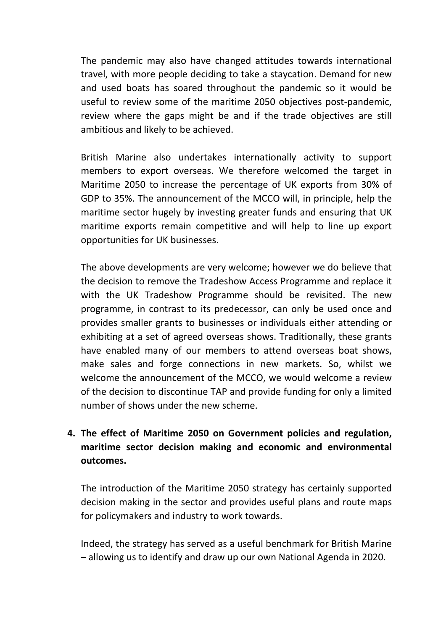The pandemic may also have changed attitudes towards international travel, with more people deciding to take a staycation. Demand for new and used boats has soared throughout the pandemic so it would be useful to review some of the maritime 2050 objectives post-pandemic, review where the gaps might be and if the trade objectives are still ambitious and likely to be achieved.

British Marine also undertakes internationally activity to support members to export overseas. We therefore welcomed the target in Maritime 2050 to increase the percentage of UK exports from 30% of GDP to 35%. The announcement of the MCCO will, in principle, help the maritime sector hugely by investing greater funds and ensuring that UK maritime exports remain competitive and will help to line up export opportunities for UK businesses.

The above developments are very welcome; however we do believe that the decision to remove the Tradeshow Access Programme and replace it with the UK Tradeshow Programme should be revisited. The new programme, in contrast to its predecessor, can only be used once and provides smaller grants to businesses or individuals either attending or exhibiting at a set of agreed overseas shows. Traditionally, these grants have enabled many of our members to attend overseas boat shows, make sales and forge connections in new markets. So, whilst we welcome the announcement of the MCCO, we would welcome a review of the decision to discontinue TAP and provide funding for only a limited number of shows under the new scheme.

# **4. The effect of Maritime 2050 on Government policies and regulation, maritime sector decision making and economic and environmental outcomes.**

The introduction of the Maritime 2050 strategy has certainly supported decision making in the sector and provides useful plans and route maps for policymakers and industry to work towards.

Indeed, the strategy has served as a useful benchmark for British Marine – allowing us to identify and draw up our own National Agenda in 2020.